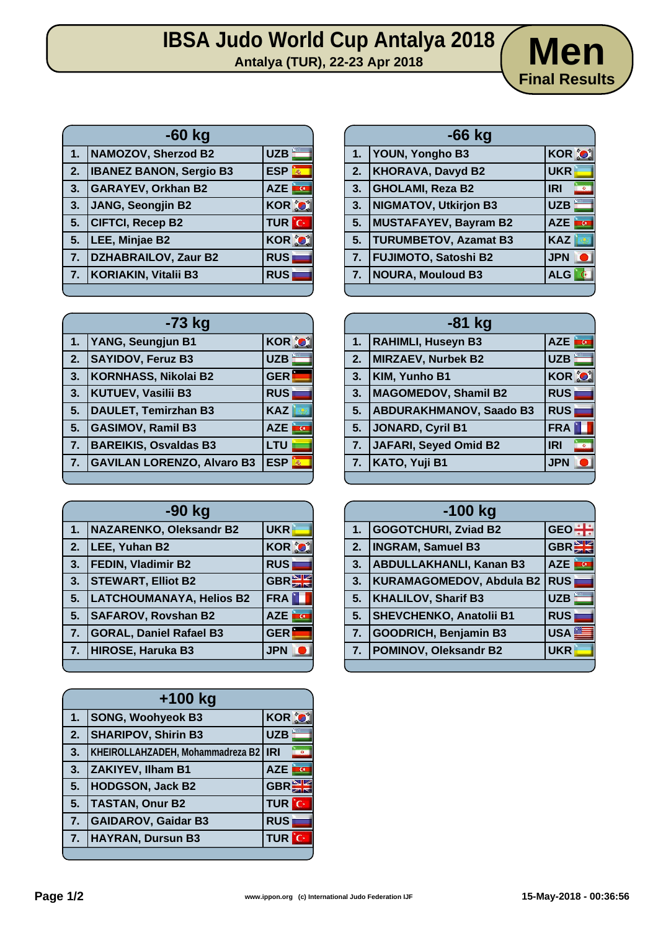## **IBSA Judo World Cup Antalya 2018**<br>Antalya (TUR), 22-23 Apr 2018<br>Antalya (TUR), 22-23 Apr 2018



|                         | $-60$ kg                       |                           |
|-------------------------|--------------------------------|---------------------------|
| 1 <sub>1</sub>          | NAMOZOV, Sherzod B2            | <b>UZB</b>                |
| $\overline{2}$ .        | <b>IBANEZ BANON, Sergio B3</b> | <b>ESP</b><br>$\vec{m}_0$ |
| 3.                      | <b>GARAYEV, Orkhan B2</b>      | i a<br><b>AZE</b>         |
| $\overline{\mathbf{3}}$ | JANG, Seongjin B2              | <b>KOR O</b>              |
| $\sqrt{5}$ .            | <b>CIFTCI, Recep B2</b>        | <b>TUR</b> C              |
| 5.                      | LEE, Minjae B2                 | <b>KOR O</b>              |
| $\overline{7}$ .        | DZHABRAILOV, Zaur B2           | <b>RUS</b>                |
| 7.                      | <b>KORIAKIN, Vitalii B3</b>    | <b>RUS</b>                |
|                         |                                |                           |

| 5. | TLEE, Minjae B2             | <b>KOR JOJI</b> | 5. | <b>IURUMBEIOV</b>    |
|----|-----------------------------|-----------------|----|----------------------|
| 7. | <b>DZHABRAILOV, Zaur B2</b> | <b>RUS</b>      | 7. | <b>FUJIMOTO, Sa</b>  |
|    | 7.   KORIAKIN, Vitalii B3   | <b>RUS</b>      | 7. | <b>NOURA, Mould</b>  |
|    |                             |                 |    |                      |
|    |                             |                 |    |                      |
|    | $-73$ kg                    |                 |    |                      |
| 1. | YANG, Seungjun B1           | <b>KOR O</b>    | 1. | <b>RAHIMLI, Huse</b> |
| 2. | <b>SAYIDOV, Feruz B3</b>    | UZB             | 2. | MIRZAEV, Nur         |
|    |                             |                 |    |                      |
| 3. | KORNHASS, Nikolai B2        | GER             | 3. | KIM, Yunho B1        |
| 3. | <b>KUTUEV, Vasilii B3</b>   | <b>RUS</b>      | 3. | <b>MAGOMEDOV</b>     |

| 2. | <b>SAYIDOV, Feruz B3</b>          | <b>UZB</b>      |
|----|-----------------------------------|-----------------|
| 3. | KORNHASS, Nikolai B2              | <b>GER</b>      |
| 3. | KUTUEV, Vasilii B3                | <b>RUS</b>      |
| 5. | <b>DAULET, Temirzhan B3</b>       | <b>KAZ</b>      |
| 5. | <b>GASIMOV, Ramil B3</b>          | <b>AZE</b>      |
| 7. | <b>BAREIKIS, Osvaldas B3</b>      | LTU             |
| 7. | <b>GAVILAN LORENZO, Alvaro B3</b> | <b>ESP</b><br>轟 |
|    |                                   |                 |

| -90 kg |                                 |            |
|--------|---------------------------------|------------|
| 1.     | NAZARENKO, Oleksandr B2         | <b>UKR</b> |
| 2.     | LEE, Yuhan B2                   | KOR O      |
| 3.     | <b>FEDIN, Vladimir B2</b>       | <b>RUS</b> |
| 3.     | <b>STEWART, Elliot B2</b>       | GBR        |
| 5.     | <b>LATCHOUMANAYA, Helios B2</b> | <b>FRA</b> |
| 5.     | <b>SAFAROV, Rovshan B2</b>      | <b>AZE</b> |
| 7.     | <b>GORAL, Daniel Rafael B3</b>  | <b>GER</b> |
| 7.     | HIROSE, Haruka B3               | <b>JPN</b> |
|        |                                 |            |

| 1. | <b>SONG, Woohyeok B3</b>               | <b>KOR OI</b>   |
|----|----------------------------------------|-----------------|
| 2. | <b>SHARIPOV, Shirin B3</b>             | <b>UZB</b>      |
| 3. | KHEIROLLAHZADEH, Mohammadreza B2   IRI |                 |
| 3. | <b>ZAKIYEV, Ilham B1</b>               | <b>AZE</b><br>G |
| 5. | <b>HODGSON, Jack B2</b>                | <b>GBRE</b>     |
| 5. | <b>TASTAN, Onur B2</b>                 | <b>TUR</b> C    |
| 7. | <b>GAIDAROV, Gaidar B3</b>             | <b>RUS</b>      |
| 7. | <b>HAYRAN, Dursun B3</b>               | TUR             |
|    |                                        |                 |

|                | $-66$ kg                     |                         |  |
|----------------|------------------------------|-------------------------|--|
| $1 -$          | <b>YOUN, Yongho B3</b>       | <b>KOR O</b>            |  |
| 2.             | <b>KHORAVA, Davyd B2</b>     | <b>UKR</b>              |  |
| 3.             | GHOLAMI, Reza B2             | <b>IRI</b><br>$\bullet$ |  |
| 3.             | <b>NIGMATOV, Utkirjon B3</b> | <b>UZB</b>              |  |
| 5.             | MUSTAFAYEV, Bayram B2        | <b>AZE</b><br><b>AO</b> |  |
| 5.             | <b>TURUMBETOV, Azamat B3</b> | <b>KAZ</b>              |  |
| 7.             | <b>FUJIMOTO, Satoshi B2</b>  | <b>JPN</b>              |  |
| 7 <sub>1</sub> | <b>NOURA, Mouloud B3</b>     | <b>ALG</b>              |  |
|                |                              |                         |  |

| -81 kg |                                |                         |
|--------|--------------------------------|-------------------------|
| 1.     | <b>RAHIMLI, Huseyn B3</b>      | AZE <b>RG</b>           |
| 2.     | <b>MIRZAEV, Nurbek B2</b>      | <b>UZB</b>              |
| 3.     | KIM, Yunho B1                  | <b>KOR O</b>            |
| 3.     | <b>MAGOMEDOV, Shamil B2</b>    | <b>RUS</b>              |
| 5.     | <b>ABDURAKHMANOV, Saado B3</b> | <b>RUS</b>              |
| 5.     | JONARD, Cyril B1               | <b>FRA</b>              |
| 7.     | JAFARI, Seyed Omid B2          | <b>IRI</b><br>$\bullet$ |
| 7.     | KATO, Yuji B1                  | <b>JPN</b>              |
|        |                                |                         |

| $-100$ kg |                                 |                  |
|-----------|---------------------------------|------------------|
| 1.        | <b>GOGOTCHURI, Zviad B2</b>     | $GEO \div$       |
| 2.        | <b>INGRAM, Samuel B3</b>        | <b>GBREE</b>     |
| 3.        | <b>ABDULLAKHANLI, Kanan B3</b>  | è۹<br><b>AZE</b> |
| 3.        | <b>KURAMAGOMEDOV, Abdula B2</b> | <b>RUS</b>       |
| 5.        | <b>KHALILOV, Sharif B3</b>      | <b>UZB</b>       |
| 5.        | SHEVCHENKO, Anatolii B1         | <b>RUS</b>       |
| 7.        | <b>GOODRICH, Benjamin B3</b>    | <b>USA</b>       |
| 7.        | <b>POMINOV, Oleksandr B2</b>    | <b>UKR</b>       |
|           |                                 |                  |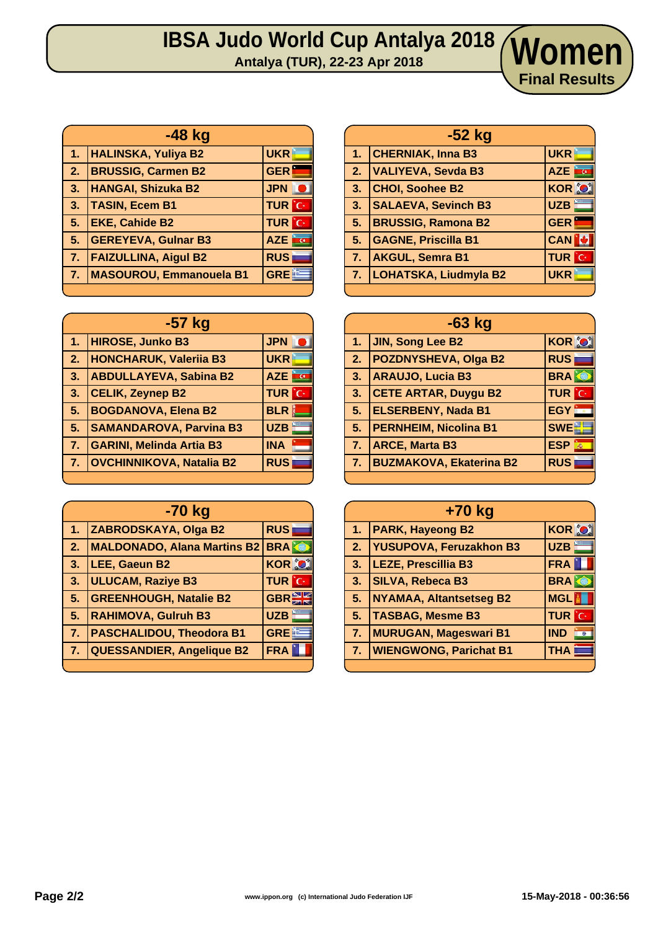## **IBSA Judo World Cup Antalya 2018 Antalya (TUR), 22-23 Apr 2018 Women**

|              | $-48$ kg                       |                    |
|--------------|--------------------------------|--------------------|
| Æ            | <b>HALINSKA, Yuliya B2</b>     | <b>UKR</b>         |
| $\mathbf{2}$ | <b>BRUSSIG, Carmen B2</b>      | <b>GER</b>         |
| 3.           | <b>HANGAI, Shizuka B2</b>      | <b>JPN</b>         |
| 3.           | <b>TASIN, Ecem B1</b>          | <b>TUR</b> C       |
| 5.           | <b>EKE, Cahide B2</b>          | <b>TUR</b> C       |
| 5.           | <b>GEREYEVA, Gulnar B3</b>     | <b>AZE</b><br>ing. |
| <b>ZV</b>    | <b>FAIZULLINA, Aigul B2</b>    | <b>RUS</b>         |
| 7.           | <b>MASOUROU, Emmanouela B1</b> | <b>GREE</b>        |
|              |                                |                    |

| $-57$ kg         |                                 |                 |
|------------------|---------------------------------|-----------------|
| $1-$             | <b>HIROSE, Junko B3</b>         | <b>JPN</b>      |
| $\overline{2}$ . | <b>HONCHARUK, Valeriia B3</b>   | <b>UKR</b>      |
| 3.               | <b>ABDULLAYEVA, Sabina B2</b>   | <b>AZE</b><br>G |
| 3.               | <b>CELIK, Zeynep B2</b>         | <b>TUR</b> C    |
| 5.               | <b>BOGDANOVA, Elena B2</b>      | <b>BLR</b><br>Ø |
| 5.               | <b>SAMANDAROVA, Parvina B3</b>  | <b>UZB</b>      |
| 7.               | <b>GARINI, Melinda Artia B3</b> | <b>INA</b>      |
| 7.               | <b>OVCHINNIKOVA, Natalia B2</b> | <b>RUS</b>      |
|                  |                                 |                 |

|                | -70 kg                             |              |  |
|----------------|------------------------------------|--------------|--|
| 1.             | ZABRODSKAYA, Olga B2               | <b>RUS</b>   |  |
| 2.             | <b>MALDONADO, Alana Martins B2</b> | <b>BRA</b>   |  |
| $\mathbf{3}$   | LEE, Gaeun B2                      | <b>KOR O</b> |  |
| 3.             | <b>ULUCAM, Raziye B3</b>           | <b>TUR</b> C |  |
| 5.             | <b>GREENHOUGH, Natalie B2</b>      | <b>GBRE</b>  |  |
| 5.             | <b>RAHIMOVA, Gulruh B3</b>         | <b>UZB</b>   |  |
| 7 <sub>1</sub> | <b>PASCHALIDOU, Theodora B1</b>    | <b>GREE</b>  |  |
| 7.             | <b>QUESSANDIER, Angelique B2</b>   | <b>FRA</b>   |  |
|                |                                    |              |  |

|    | $-52$ kg                     |               |  |
|----|------------------------------|---------------|--|
| 1. | <b>CHERNIAK, Inna B3</b>     | <b>UKR</b>    |  |
| 2. | <b>VALIYEVA, Sevda B3</b>    | AZE <b>F</b>  |  |
| 3. | <b>CHOI, Soohee B2</b>       | <b>KOR OF</b> |  |
| 3. | <b>SALAEVA, Sevinch B3</b>   | <b>UZB</b>    |  |
| 5. | <b>BRUSSIG, Ramona B2</b>    | <b>GER</b>    |  |
| 5. | <b>GAGNE, Priscilla B1</b>   | <b>CAN</b>    |  |
| 7. | <b>AKGUL, Semra B1</b>       | <b>TUR</b> C  |  |
| 7. | <b>LOHATSKA, Liudmyla B2</b> | <b>UKR</b>    |  |
|    |                              |               |  |

**Final Results**

| $-63$ kg |                                |                           |  |
|----------|--------------------------------|---------------------------|--|
|          | 1. JIN, Song Lee B2            | <b>KOR OF</b>             |  |
| 2.       | <b>POZDNYSHEVA, Olga B2</b>    | <b>RUS</b>                |  |
| 3.       | <b>ARAUJO, Lucia B3</b>        | <b>BRA</b>                |  |
| 3.       | <b>CETE ARTAR, Duygu B2</b>    | <b>TUR</b> C              |  |
| 5.       | <b>ELSERBENY, Nada B1</b>      | <b>EGY</b>                |  |
| 5.       | <b>PERNHEIM, Nicolina B1</b>   | <b>SWE</b>                |  |
| 7.       | <b>ARCE, Marta B3</b>          | <b>ESP</b><br>$\vec{m}_0$ |  |
| 7.       | <b>BUZMAKOVA, Ekaterina B2</b> | <b>RUS</b>                |  |
|          |                                |                           |  |

| +70 kg         |                                |                         |  |
|----------------|--------------------------------|-------------------------|--|
| 1 <sub>1</sub> | <b>PARK, Hayeong B2</b>        | <b>KOR OF</b>           |  |
| 2.7            | YUSUPOVA, Feruzakhon B3        | <b>UZB</b>              |  |
| 3.             | <b>LEZE, Prescillia B3</b>     | <b>FRA</b>              |  |
| 3.             | <b>SILVA, Rebeca B3</b>        | <b>BRAK</b>             |  |
| 5.             | <b>NYAMAA, Altantsetseg B2</b> | <b>MGL<sup>M</sup></b>  |  |
| 5.             | <b>TASBAG, Mesme B3</b>        | <b>TUR</b> C            |  |
| 7.             | <b>MURUGAN, Mageswari B1</b>   | <b>IND</b><br>$\bullet$ |  |
| 7.             | <b>WIENGWONG, Parichat B1</b>  | <b>THA</b>              |  |
|                |                                |                         |  |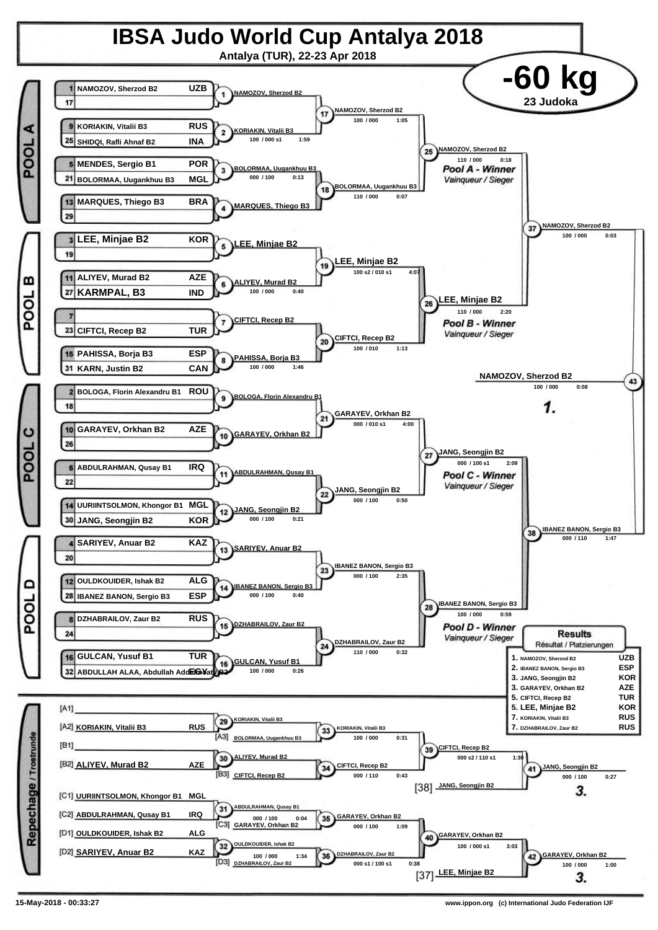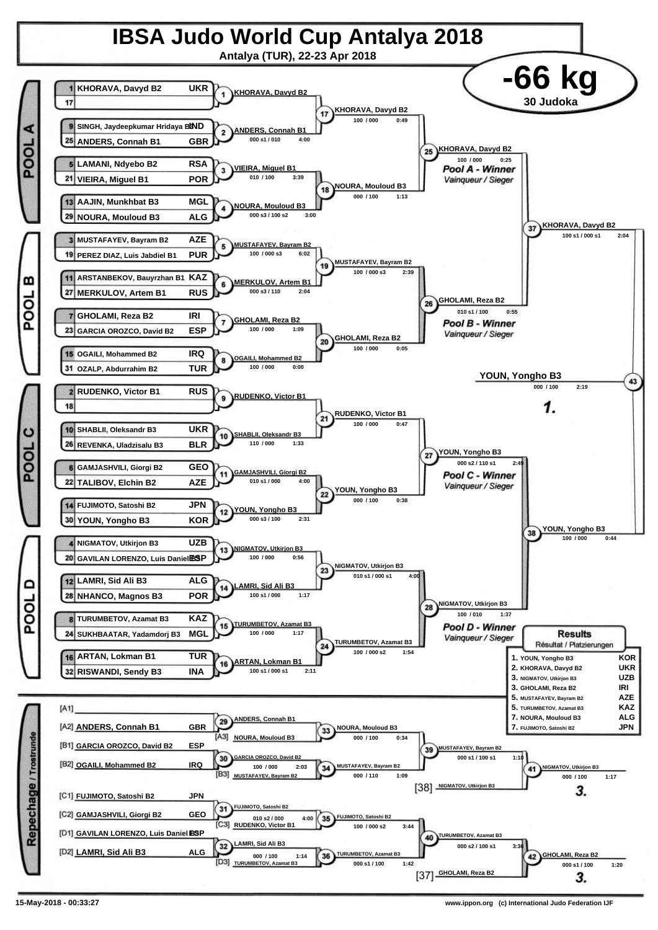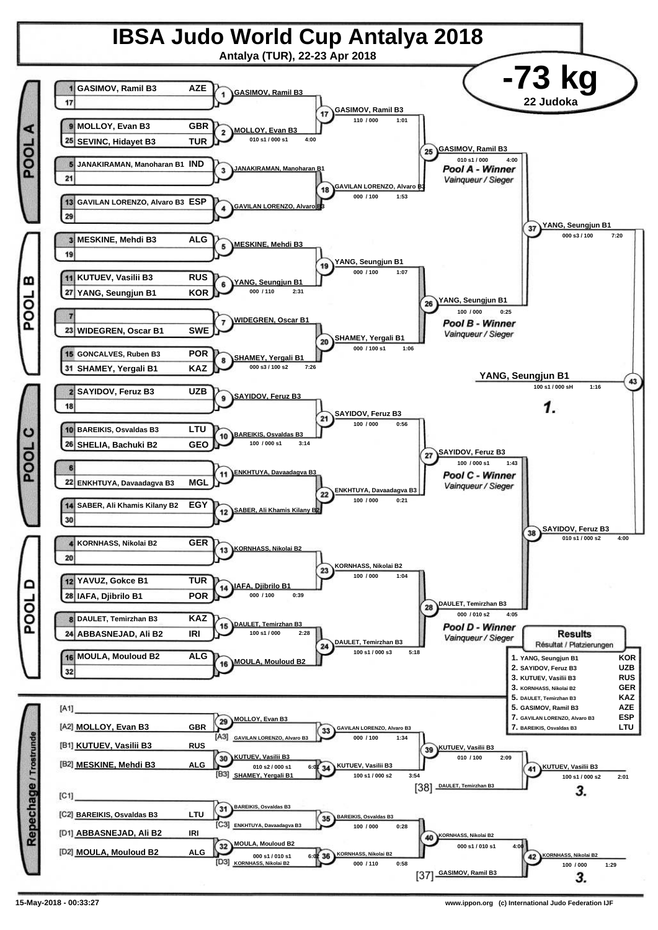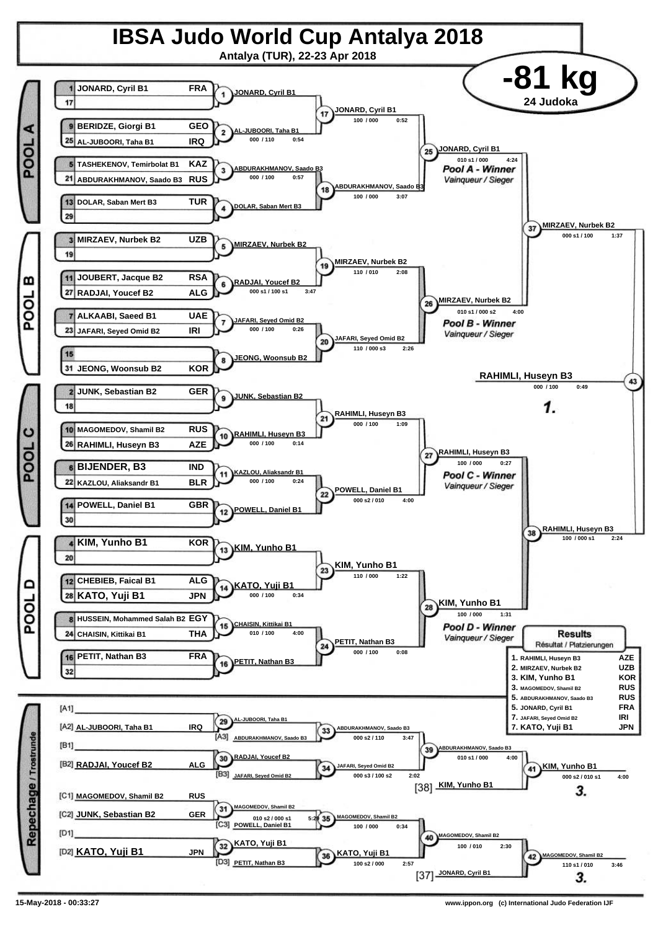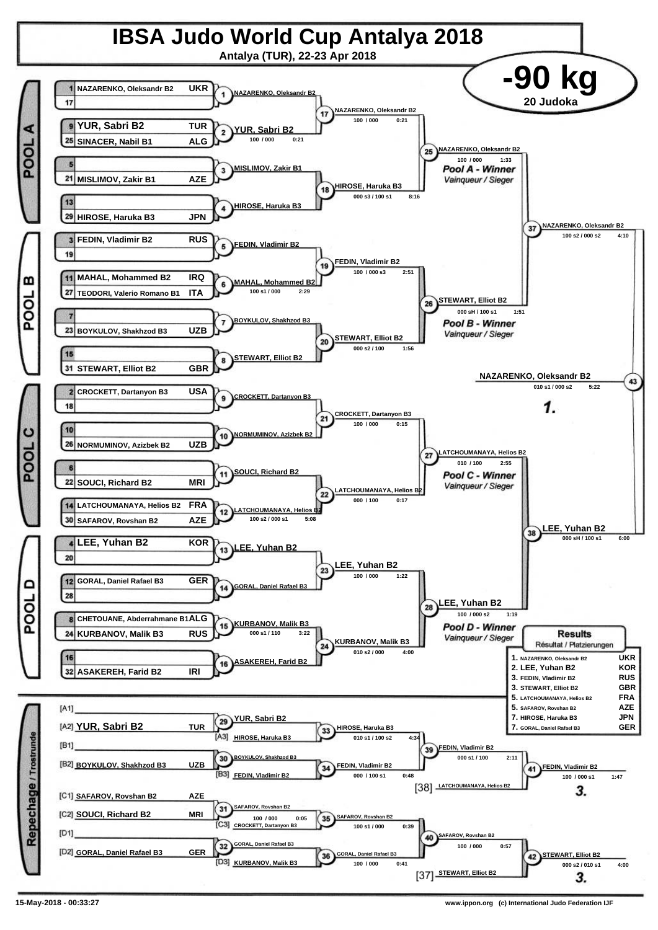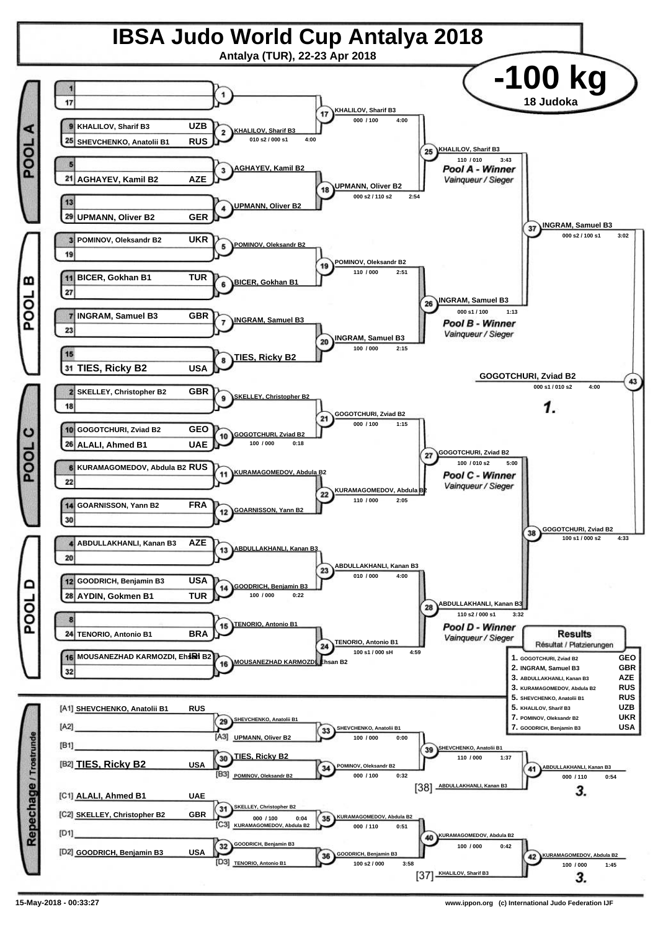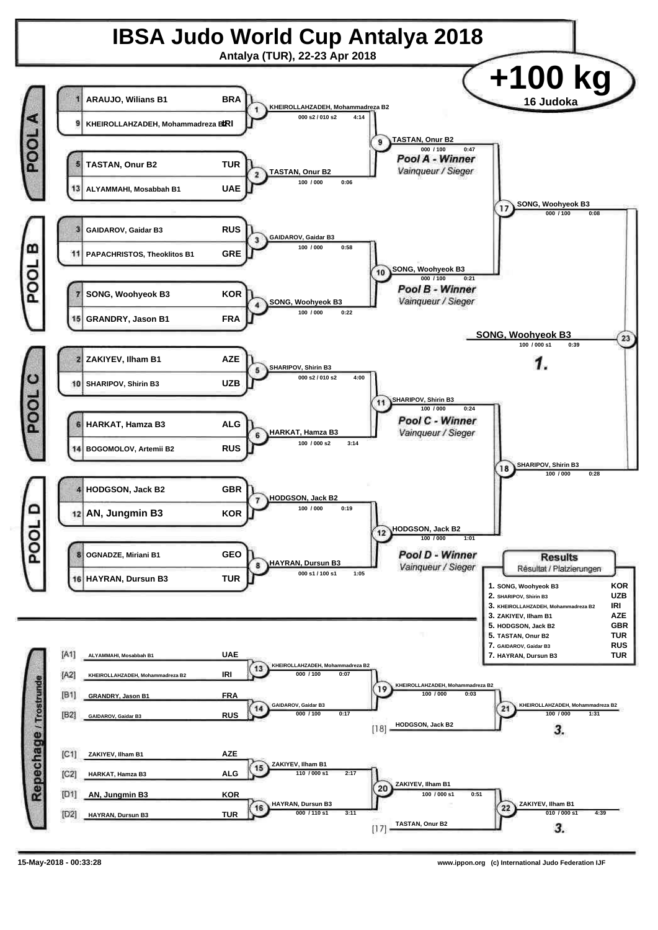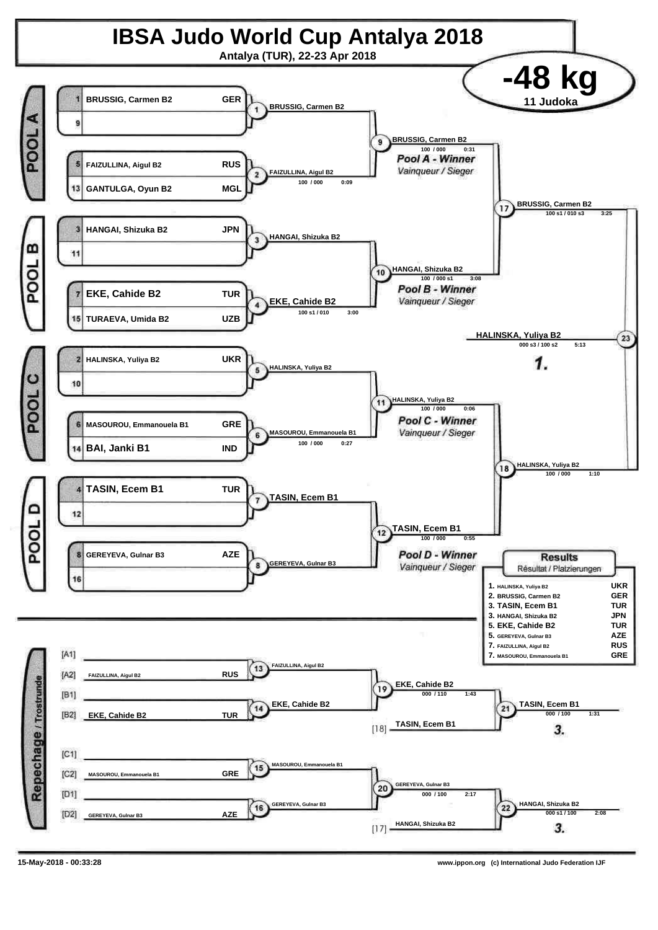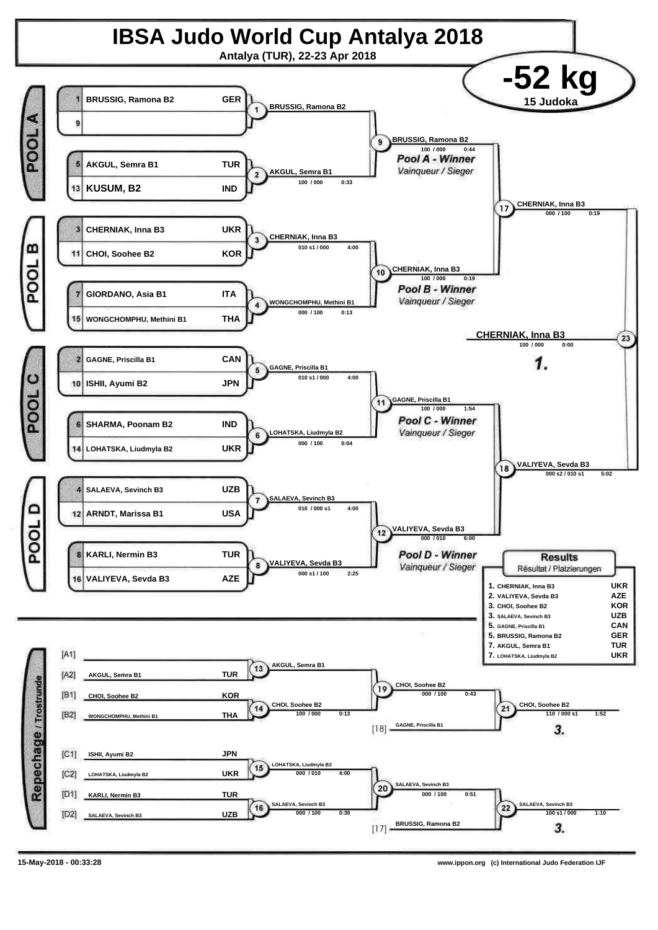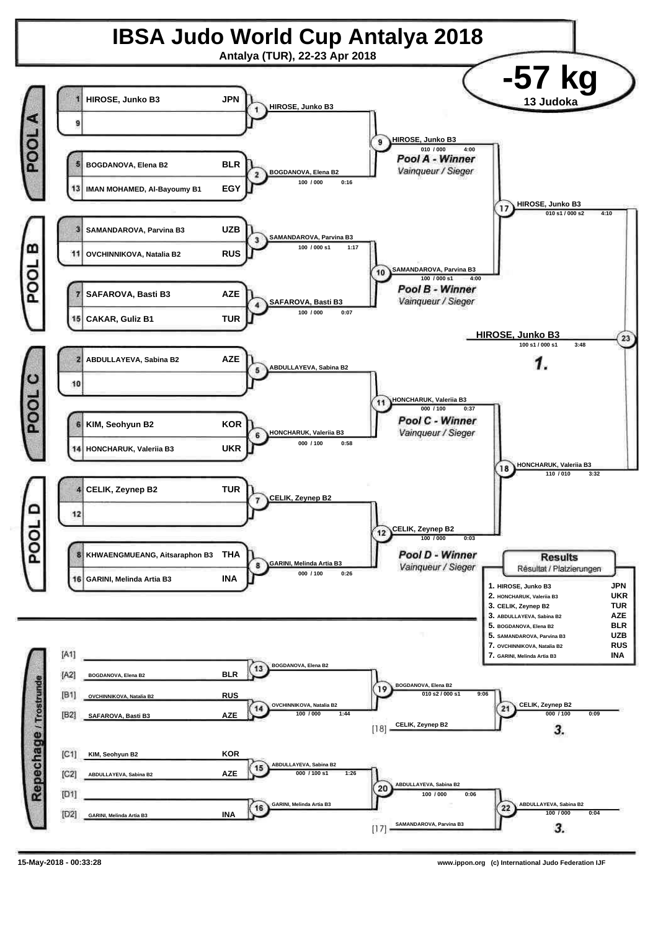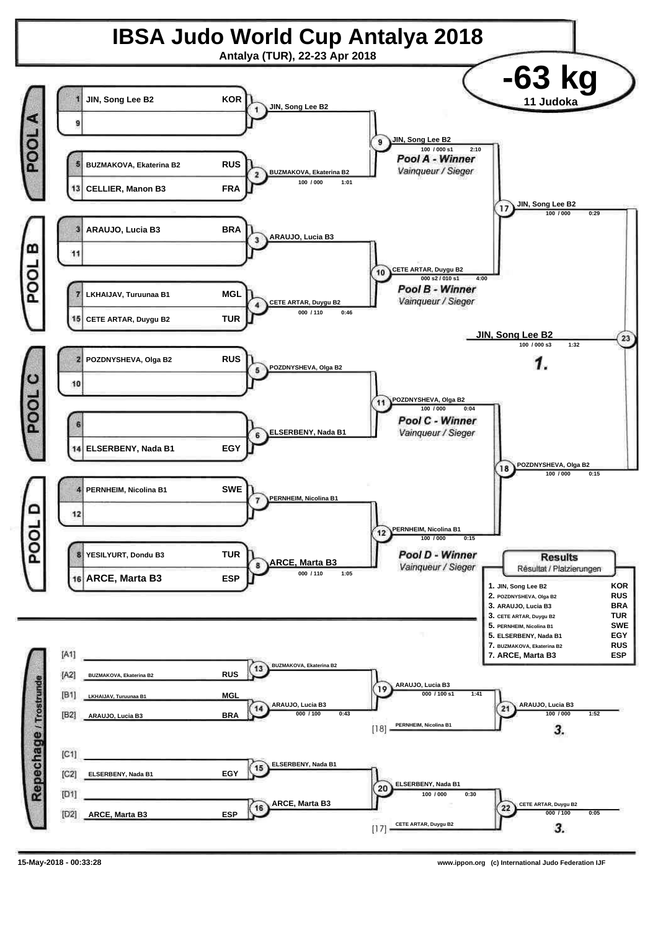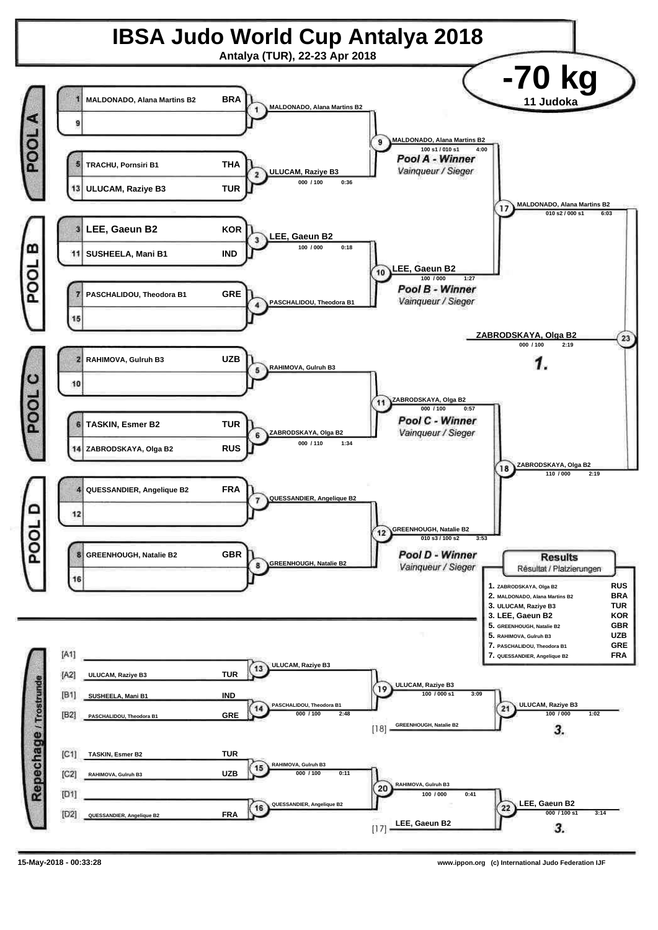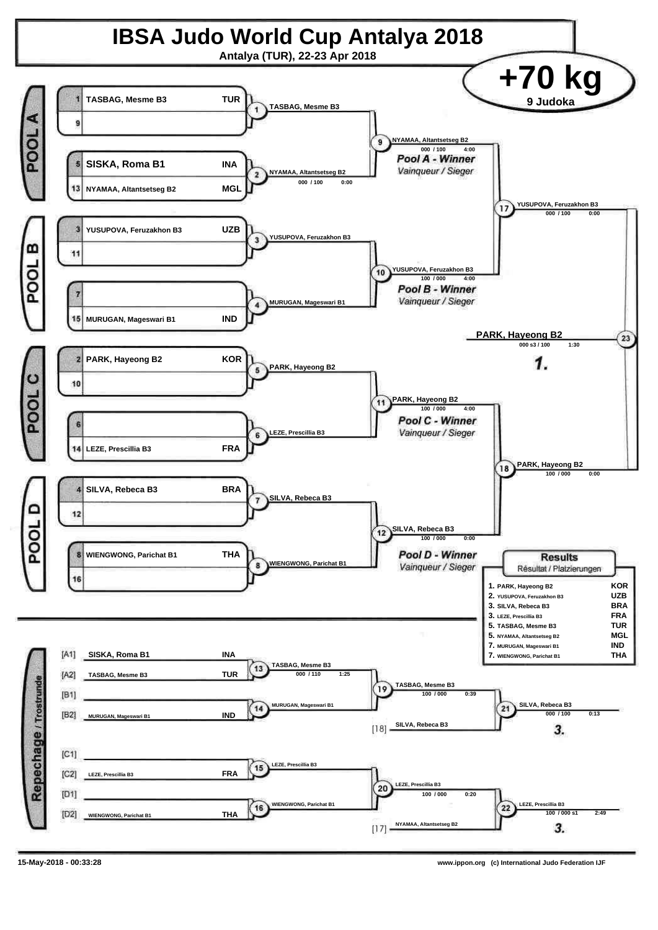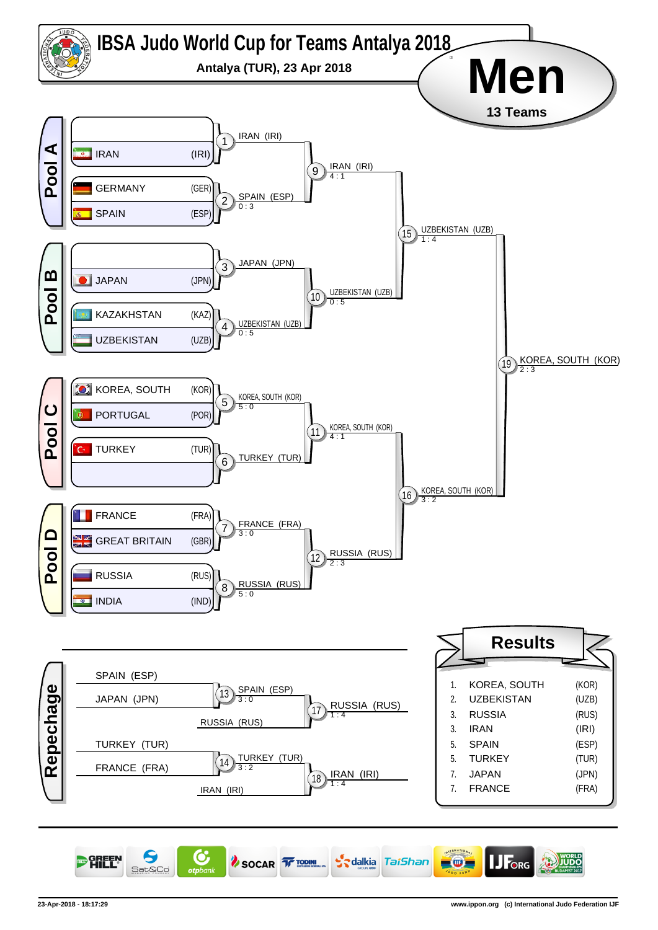